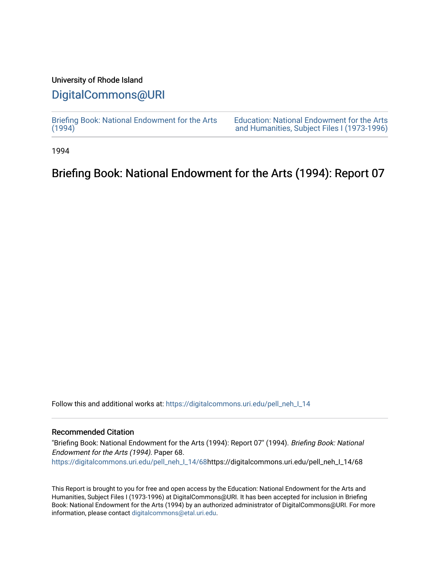### University of Rhode Island

## [DigitalCommons@URI](https://digitalcommons.uri.edu/)

[Briefing Book: National Endowment for the Arts](https://digitalcommons.uri.edu/pell_neh_I_14)  $(1994)$ 

[Education: National Endowment for the Arts](https://digitalcommons.uri.edu/pell_neh_I)  [and Humanities, Subject Files I \(1973-1996\)](https://digitalcommons.uri.edu/pell_neh_I) 

1994

## Briefing Book: National Endowment for the Arts (1994): Report 07

Follow this and additional works at: [https://digitalcommons.uri.edu/pell\\_neh\\_I\\_14](https://digitalcommons.uri.edu/pell_neh_I_14?utm_source=digitalcommons.uri.edu%2Fpell_neh_I_14%2F68&utm_medium=PDF&utm_campaign=PDFCoverPages) 

#### Recommended Citation

"Briefing Book: National Endowment for the Arts (1994): Report 07" (1994). Briefing Book: National Endowment for the Arts (1994). Paper 68. [https://digitalcommons.uri.edu/pell\\_neh\\_I\\_14/68h](https://digitalcommons.uri.edu/pell_neh_I_14/68?utm_source=digitalcommons.uri.edu%2Fpell_neh_I_14%2F68&utm_medium=PDF&utm_campaign=PDFCoverPages)ttps://digitalcommons.uri.edu/pell\_neh\_I\_14/68

This Report is brought to you for free and open access by the Education: National Endowment for the Arts and Humanities, Subject Files I (1973-1996) at DigitalCommons@URI. It has been accepted for inclusion in Briefing Book: National Endowment for the Arts (1994) by an authorized administrator of DigitalCommons@URI. For more information, please contact [digitalcommons@etal.uri.edu.](mailto:digitalcommons@etal.uri.edu)